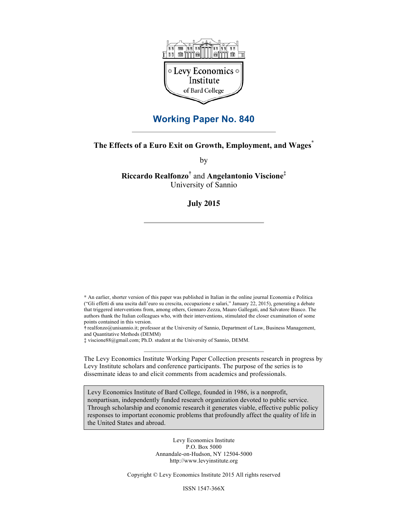

# **Working Paper No. 840**

# **The Effects of a Euro Exit on Growth, Employment, and Wages\***

by

**Riccardo Realfonzo†** and **Angelantonio Viscione‡** University of Sannio

#### **July 2015**

\* An earlier, shorter version of this paper was published in Italian in the online journal Economia e Politica ("Gli effetti di una uscita dall'euro su crescita, occupazione e salari," January 22, 2015), generating a debate that triggered interventions from, among others, Gennaro Zezza, Mauro Gallegati, and Salvatore Biasco. The authors thank the Italian colleagues who, with their interventions, stimulated the closer examination of some points contained in this version.

**†** realfonzo@unisannio.it; professor at the University of Sannio, Department of Law, Business Management, and Quantitative Methods (DEMM)

‡ viscione88@gmail.com; Ph.D. student at the University of Sannio, DEMM.

The Levy Economics Institute Working Paper Collection presents research in progress by Levy Institute scholars and conference participants. The purpose of the series is to disseminate ideas to and elicit comments from academics and professionals.

Levy Economics Institute of Bard College, founded in 1986, is a nonprofit, nonpartisan, independently funded research organization devoted to public service. Through scholarship and economic research it generates viable, effective public policy responses to important economic problems that profoundly affect the quality of life in the United States and abroad.

> Levy Economics Institute P.O. Box 5000 Annandale-on-Hudson, NY 12504-5000 http://www.levyinstitute.org

Copyright © Levy Economics Institute 2015 All rights reserved

ISSN 1547-366X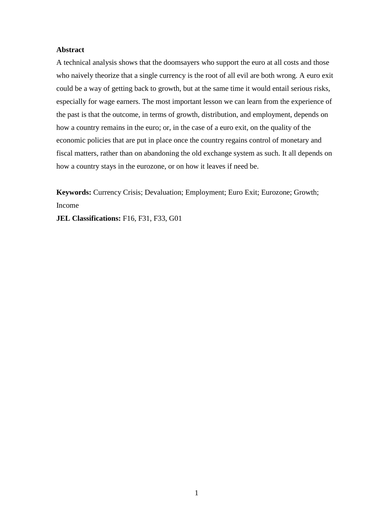### **Abstract**

A technical analysis shows that the doomsayers who support the euro at all costs and those who naively theorize that a single currency is the root of all evil are both wrong. A euro exit could be a way of getting back to growth, but at the same time it would entail serious risks, especially for wage earners. The most important lesson we can learn from the experience of the past is that the outcome, in terms of growth, distribution, and employment, depends on how a country remains in the euro; or, in the case of a euro exit, on the quality of the economic policies that are put in place once the country regains control of monetary and fiscal matters, rather than on abandoning the old exchange system as such. It all depends on how a country stays in the eurozone, or on how it leaves if need be.

**Keywords:** Currency Crisis; Devaluation; Employment; Euro Exit; Eurozone; Growth; Income

**JEL Classifications:** F16, F31, F33, G01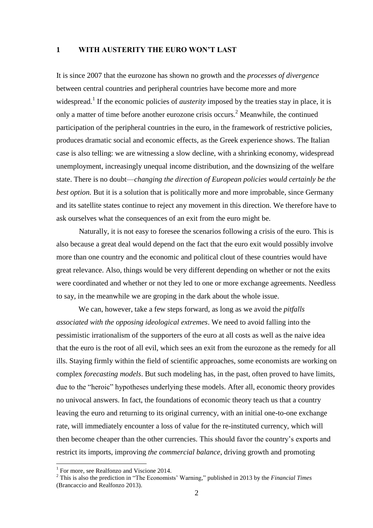## **1 WITH AUSTERITY THE EURO WON'T LAST**

It is since 2007 that the eurozone has shown no growth and the *processes of divergence* between central countries and peripheral countries have become more and more widespread.<sup>1</sup> If the economic policies of *austerity* imposed by the treaties stay in place, it is only a matter of time before another eurozone crisis occurs.<sup>2</sup> Meanwhile, the continued participation of the peripheral countries in the euro, in the framework of restrictive policies, produces dramatic social and economic effects, as the Greek experience shows. The Italian case is also telling: we are witnessing a slow decline, with a shrinking economy, widespread unemployment, increasingly unequal income distribution, and the downsizing of the welfare state. There is no doubt—*changing the direction of European policies would certainly be the best option.* But it is a solution that is politically more and more improbable, since Germany and its satellite states continue to reject any movement in this direction. We therefore have to ask ourselves what the consequences of an exit from the euro might be.

Naturally, it is not easy to foresee the scenarios following a crisis of the euro. This is also because a great deal would depend on the fact that the euro exit would possibly involve more than one country and the economic and political clout of these countries would have great relevance. Also, things would be very different depending on whether or not the exits were coordinated and whether or not they led to one or more exchange agreements. Needless to say, in the meanwhile we are groping in the dark about the whole issue.

We can, however, take a few steps forward, as long as we avoid the *pitfalls associated with the opposing ideological extremes*. We need to avoid falling into the pessimistic irrationalism of the supporters of the euro at all costs as well as the naive idea that the euro is the root of all evil, which sees an exit from the eurozone as the remedy for all ills. Staying firmly within the field of scientific approaches, some economists are working on complex *forecasting models*. But such modeling has, in the past, often proved to have limits, due to the "heroic" hypotheses underlying these models. After all, economic theory provides no univocal answers. In fact, the foundations of economic theory teach us that a country leaving the euro and returning to its original currency, with an initial one-to-one exchange rate, will immediately encounter a loss of value for the re-instituted currency, which will then become cheaper than the other currencies. This should favor the country's exports and restrict its imports, improving *the commercial balance*, driving growth and promoting

 1 For more, see Realfonzo and Viscione 2014.

<sup>2</sup> This is also the prediction in "The Economists' Warning," published in 2013 by the *Financial Times* (Brancaccio and Realfonzo 2013).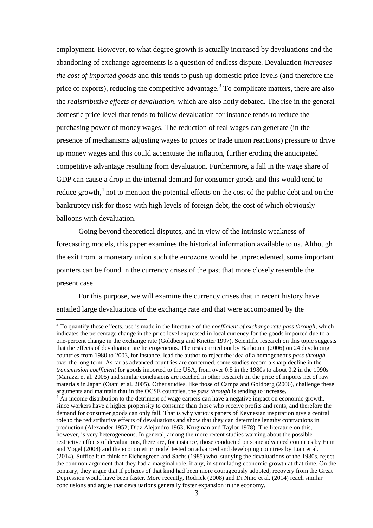employment. However, to what degree growth is actually increased by devaluations and the abandoning of exchange agreements is a question of endless dispute. Devaluation *increases the cost of imported goods* and this tends to push up domestic price levels (and therefore the price of exports), reducing the competitive advantage.<sup>3</sup> To complicate matters, there are also the *redistributive effects of devaluation*, which are also hotly debated. The rise in the general domestic price level that tends to follow devaluation for instance tends to reduce the purchasing power of money wages. The reduction of real wages can generate (in the presence of mechanisms adjusting wages to prices or trade union reactions) pressure to drive up money wages and this could accentuate the inflation, further eroding the anticipated competitive advantage resulting from devaluation. Furthermore, a fall in the wage share of GDP can cause a drop in the internal demand for consumer goods and this would tend to reduce growth, $4$  not to mention the potential effects on the cost of the public debt and on the bankruptcy risk for those with high levels of foreign debt, the cost of which obviously balloons with devaluation.

Going beyond theoretical disputes, and in view of the intrinsic weakness of forecasting models, this paper examines the historical information available to us. Although the exit from a monetary union such the eurozone would be unprecedented, some important pointers can be found in the currency crises of the past that more closely resemble the present case.

For this purpose, we will examine the currency crises that in recent history have entailed large devaluations of the exchange rate and that were accompanied by the

**.** 

<sup>3</sup> To quantify these effects, use is made in the literature of the *coefficient of exchange rate pass through*, which indicates the percentage change in the price level expressed in local currency for the goods imported due to a one-percent change in the exchange rate (Goldberg and Knetter 1997). Scientific research on this topic suggests that the effects of devaluation are heterogeneous. The tests carried out by Barhoumi (2006) on 24 developing countries from 1980 to 2003, for instance, lead the author to reject the idea of a homogeneous *pass through* over the long term. As far as advanced countries are concerned, some studies record a sharp decline in the *transmission coefficient* for goods imported to the USA, from over 0.5 in the 1980s to about 0.2 in the 1990s (Marazzi et al. 2005) and similar conclusions are reached in other research on the price of imports net of raw materials in Japan (Otani et al. 2005). Other studies, like those of Campa and Goldberg (2006), challenge these arguments and maintain that in the OCSE countries, the *pass through* is tending to increase.

 $4 \text{ Å}$ n income distribution to the detriment of wage earners can have a negative impact on economic growth, since workers have a higher propensity to consume than those who receive profits and rents, and therefore the demand for consumer goods can only fall. That is why various papers of Keynesian inspiration give a central role to the redistributive effects of devaluations and show that they can determine lengthy contractions in production (Alexander 1952; Diaz Alejandro 1963; Krugman and Taylor 1978). The literature on this, however, is very heterogeneous. In general, among the more recent studies warning about the possible restrictive effects of devaluations, there are, for instance, those conducted on some advanced countries by Hein and Vogel (2008) and the econometric model tested on advanced and developing countries by Lian et al. (2014). Suffice it to think of Eichengreen and Sachs (1985) who, studying the devaluations of the 1930s, reject the common argument that they had a marginal role, if any, in stimulating economic growth at that time. On the contrary, they argue that if policies of that kind had been more courageously adopted, recovery from the Great Depression would have been faster. More recently, Rodrick (2008) and Di Nino et al. (2014) reach similar conclusions and argue that devaluations generally foster expansion in the economy.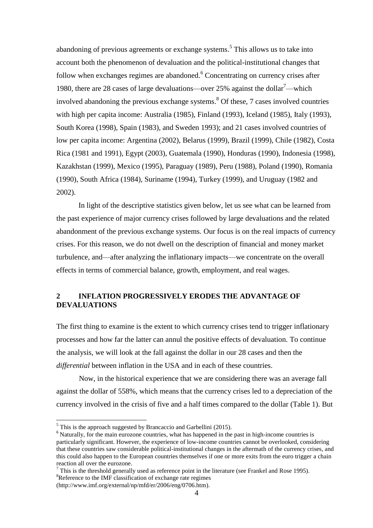abandoning of previous agreements or exchange systems.<sup>5</sup> This allows us to take into account both the phenomenon of devaluation and the political-institutional changes that follow when exchanges regimes are abandoned.<sup>6</sup> Concentrating on currency crises after 1980, there are 28 cases of large devaluations—over 25% against the dollar<sup>7</sup>—which involved abandoning the previous exchange systems. <sup>8</sup> Of these, 7 cases involved countries with high per capita income: Australia (1985), Finland (1993), Iceland (1985), Italy (1993), South Korea (1998), Spain (1983), and Sweden 1993); and 21 cases involved countries of low per capita income: Argentina (2002), Belarus (1999), Brazil (1999), Chile (1982), Costa Rica (1981 and 1991), Egypt (2003), Guatemala (1990), Honduras (1990), Indonesia (1998), Kazakhstan (1999), Mexico (1995), Paraguay (1989), Peru (1988), Poland (1990), Romania (1990), South Africa (1984), Suriname (1994), Turkey (1999), and Uruguay (1982 and 2002).

In light of the descriptive statistics given below, let us see what can be learned from the past experience of major currency crises followed by large devaluations and the related abandonment of the previous exchange systems. Our focus is on the real impacts of currency crises. For this reason, we do not dwell on the description of financial and money market turbulence, and—after analyzing the inflationary impacts—we concentrate on the overall effects in terms of commercial balance, growth, employment, and real wages.

# **2 INFLATION PROGRESSIVELY ERODES THE ADVANTAGE OF DEVALUATIONS**

The first thing to examine is the extent to which currency crises tend to trigger inflationary processes and how far the latter can annul the positive effects of devaluation. To continue the analysis, we will look at the fall against the dollar in our 28 cases and then the *differential* between inflation in the USA and in each of these countries.

Now, in the historical experience that we are considering there was an average fall against the dollar of 558%, which means that the currency crises led to a depreciation of the currency involved in the crisis of five and a half times compared to the dollar (Table 1). But

 $\overline{a}$ 

 $<sup>7</sup>$  This is the threshold generally used as reference point in the literature (see Frankel and Rose 1995).</sup> <sup>8</sup>Reference to the IMF classification of exchange rate regimes

(http://www.imf.org/external/np/mfd/er/2006/eng/0706.htm).

 $<sup>5</sup>$  This is the approach suggested by Brancaccio and Garbellini (2015).</sup>

<sup>&</sup>lt;sup>6</sup> Naturally, for the main eurozone countries, what has happened in the past in high-income countries is particularly significant. However, the experience of low-income countries cannot be overlooked, considering that these countries saw considerable political-institutional changes in the aftermath of the currency crises, and this could also happen to the European countries themselves if one or more exits from the euro trigger a chain reaction all over the eurozone.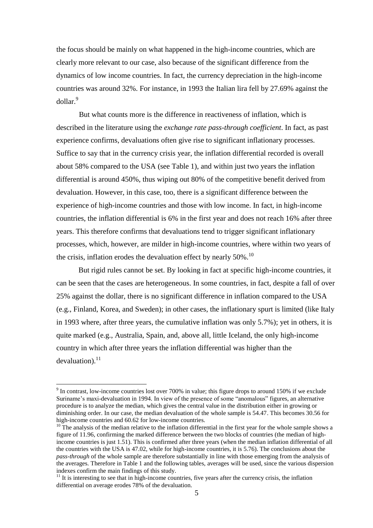the focus should be mainly on what happened in the high-income countries, which are clearly more relevant to our case, also because of the significant difference from the dynamics of low income countries. In fact, the currency depreciation in the high-income countries was around 32%. For instance, in 1993 the Italian lira fell by 27.69% against the dollar. 9

But what counts more is the difference in reactiveness of inflation, which is described in the literature using the *exchange rate pass-through coefficient*. In fact, as past experience confirms, devaluations often give rise to significant inflationary processes. Suffice to say that in the currency crisis year, the inflation differential recorded is overall about 58% compared to the USA (see Table 1), and within just two years the inflation differential is around 450%, thus wiping out 80% of the competitive benefit derived from devaluation. However, in this case, too, there is a significant difference between the experience of high-income countries and those with low income. In fact, in high-income countries, the inflation differential is 6% in the first year and does not reach 16% after three years. This therefore confirms that devaluations tend to trigger significant inflationary processes, which, however, are milder in high-income countries, where within two years of the crisis, inflation erodes the devaluation effect by nearly  $50\%$ .<sup>10</sup>

But rigid rules cannot be set. By looking in fact at specific high-income countries, it can be seen that the cases are heterogeneous. In some countries, in fact, despite a fall of over 25% against the dollar, there is no significant difference in inflation compared to the USA (e.g., Finland, Korea, and Sweden); in other cases, the inflationary spurt is limited (like Italy in 1993 where, after three years, the cumulative inflation was only 5.7%); yet in others, it is quite marked (e.g., Australia, Spain, and, above all, little Iceland, the only high-income country in which after three years the inflation differential was higher than the devaluation). 11

**.** 

<sup>&</sup>lt;sup>9</sup> In contrast, low-income countries lost over 700% in value; this figure drops to around 150% if we exclude Suriname's maxi-devaluation in 1994. In view of the presence of some "anomalous" figures, an alternative procedure is to analyze the median, which gives the central value in the distribution either in growing or diminishing order. In our case, the median devaluation of the whole sample is 54.47. This becomes 30.56 for high-income countries and 60.62 for low-income countries.

 $10$  The analysis of the median relative to the inflation differential in the first year for the whole sample shows a figure of 11.96, confirming the marked difference between the two blocks of countries (the median of highincome countries is just 1.51). This is confirmed after three years (when the median inflation differential of all the countries with the USA is 47.02, while for high-income countries, it is 5.76). The conclusions about the *pass-through* of the whole sample are therefore substantially in line with those emerging from the analysis of the averages. Therefore in Table 1 and the following tables, averages will be used, since the various dispersion indexes confirm the main findings of this study.

 $11$  It is interesting to see that in high-income countries, five years after the currency crisis, the inflation differential on average erodes 78% of the devaluation.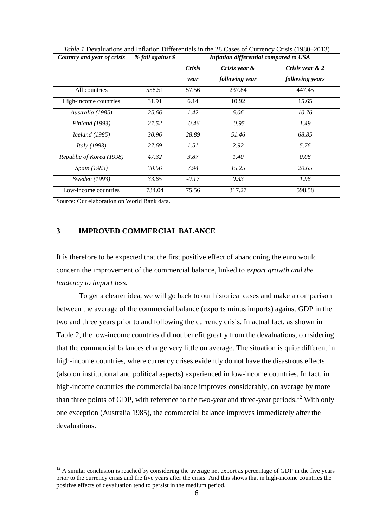| Country and year of crisis | % fall against \$ | <b>Inflation differential compared to USA</b> |                |                 |  |
|----------------------------|-------------------|-----------------------------------------------|----------------|-----------------|--|
|                            |                   | Crisis                                        | Crisis year &  | Crisis year & 2 |  |
|                            |                   | year                                          | following year | following years |  |
| All countries              | 558.51            | 57.56                                         | 237.84         | 447.45          |  |
| High-income countries      | 31.91             | 6.14                                          | 10.92          | 15.65           |  |
| Australia (1985)           | 25.66             | 1.42                                          | 6.06           | 10.76           |  |
| <b>Finland</b> (1993)      | 27.52             | $-0.46$                                       | $-0.95$        | 1.49            |  |
| <i>Iceland</i> (1985)      | 30.96             | 28.89                                         | 51.46          | 68.85           |  |
| <i>Italy</i> (1993)        | 27.69             | 1.51                                          | 2.92           | 5.76            |  |
| Republic of Korea (1998)   | 47.32             | 3.87                                          | 1.40           | 0.08            |  |
| <i>Spain</i> (1983)        | 30.56             | 7.94                                          | 15.25          | 20.65           |  |
| Sweden (1993)              | 33.65             | $-0.17$                                       | 0.33           | 1.96            |  |
| Low-income countries       | 734.04            | 75.56                                         | 317.27         | 598.58          |  |

*Table 1* Devaluations and Inflation Differentials in the 28 Cases of Currency Crisis (1980–2013)

Source: Our elaboration on World Bank data.

 $\overline{a}$ 

## **3 IMPROVED COMMERCIAL BALANCE**

It is therefore to be expected that the first positive effect of abandoning the euro would concern the improvement of the commercial balance, linked to *export growth and the tendency to import less.*

To get a clearer idea, we will go back to our historical cases and make a comparison between the average of the commercial balance (exports minus imports) against GDP in the two and three years prior to and following the currency crisis. In actual fact, as shown in Table 2, the low-income countries did not benefit greatly from the devaluations, considering that the commercial balances change very little on average. The situation is quite different in high-income countries, where currency crises evidently do not have the disastrous effects (also on institutional and political aspects) experienced in low-income countries. In fact, in high-income countries the commercial balance improves considerably, on average by more than three points of GDP, with reference to the two-year and three-year periods.<sup>12</sup> With only one exception (Australia 1985), the commercial balance improves immediately after the devaluations.

 $12$  A similar conclusion is reached by considering the average net export as percentage of GDP in the five years prior to the currency crisis and the five years after the crisis. And this shows that in high-income countries the positive effects of devaluation tend to persist in the medium period.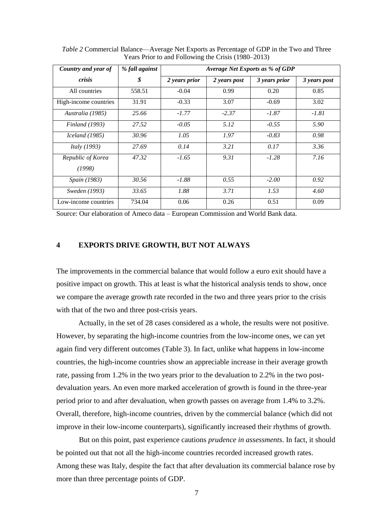| Country and year of   | % fall against | Average Net Exports as % of GDP |              |               |              |  |  |
|-----------------------|----------------|---------------------------------|--------------|---------------|--------------|--|--|
| crisis                | \$             | 2 years prior                   | 2 years post | 3 years prior | 3 years post |  |  |
| All countries         | 558.51         | $-0.04$                         | 0.99         | 0.20          | 0.85         |  |  |
| High-income countries | 31.91          | $-0.33$                         | 3.07         | $-0.69$       | 3.02         |  |  |
| Australia (1985)      | 25.66          | $-1.77$                         | $-2.37$      | $-1.87$       | $-1.81$      |  |  |
| <i>Finland</i> (1993) | 27.52          | $-0.05$                         | 5.12         | $-0.55$       | 5.90         |  |  |
| <i>Iceland</i> (1985) | 30.96          | 1.05                            | 1.97         | $-0.83$       | 0.98         |  |  |
| <i>Italy</i> $(1993)$ | 27.69          | 0.14                            | 3.21         | 0.17          | 3.36         |  |  |
| Republic of Korea     | 47.32          | $-1.65$                         | 9.31         | $-1.28$       | 7.16         |  |  |
| (1998)                |                |                                 |              |               |              |  |  |
| <i>Spain</i> (1983)   | 30.56          | $-1.88$                         | 0.55         | $-2.00$       | 0.92         |  |  |
| Sweden (1993)         | 33.65          | 1.88                            | 3.71         | 1.53          | 4.60         |  |  |
| Low-income countries  | 734.04         | 0.06                            | 0.26         | 0.51          | 0.09         |  |  |

*Table 2* Commercial Balance—Average Net Exports as Percentage of GDP in the Two and Three Years Prior to and Following the Crisis (1980–2013)

Source: Our elaboration of Ameco data – European Commission and World Bank data.

## **4 EXPORTS DRIVE GROWTH, BUT NOT ALWAYS**

The improvements in the commercial balance that would follow a euro exit should have a positive impact on growth. This at least is what the historical analysis tends to show, once we compare the average growth rate recorded in the two and three years prior to the crisis with that of the two and three post-crisis years.

Actually, in the set of 28 cases considered as a whole, the results were not positive. However, by separating the high-income countries from the low-income ones, we can yet again find very different outcomes (Table 3). In fact, unlike what happens in low-income countries, the high-income countries show an appreciable increase in their average growth rate, passing from 1.2% in the two years prior to the devaluation to 2.2% in the two postdevaluation years. An even more marked acceleration of growth is found in the three-year period prior to and after devaluation, when growth passes on average from 1.4% to 3.2%. Overall, therefore, high-income countries, driven by the commercial balance (which did not improve in their low-income counterparts), significantly increased their rhythms of growth.

But on this point, past experience cautions *prudence in assessments*. In fact, it should be pointed out that not all the high-income countries recorded increased growth rates. Among these was Italy, despite the fact that after devaluation its commercial balance rose by more than three percentage points of GDP.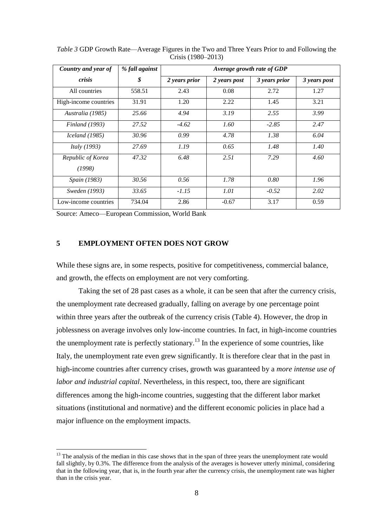| Country and year of   | % fall against | Average growth rate of GDP |              |               |              |  |
|-----------------------|----------------|----------------------------|--------------|---------------|--------------|--|
| crisis                | \$             | 2 years prior              | 2 years post | 3 years prior | 3 years post |  |
| All countries         | 558.51         | 2.43                       | 0.08         | 2.72          | 1.27         |  |
| High-income countries | 31.91          | 1.20                       | 2.22         | 1.45          | 3.21         |  |
| Australia (1985)      | 25.66          | 4.94                       | 3.19         | 2.55          | 3.99         |  |
| <i>Finland</i> (1993) | 27.52          | $-4.62$                    | 1.60         | $-2.85$       | 2.47         |  |
| <i>Iceland</i> (1985) | 30.96          | 0.99                       | 4.78         | 1.38          | 6.04         |  |
| <i>Italy</i> (1993)   | 27.69          | 1.19                       | 0.65         | 1.48          | 1.40         |  |
| Republic of Korea     | 47.32          | 6.48                       | 2.51         | 7.29          | 4.60         |  |
| (1998)                |                |                            |              |               |              |  |
| <i>Spain</i> (1983)   | 30.56          | 0.56                       | 1.78         | 0.80          | 1.96         |  |
| Sweden (1993)         | 33.65          | $-1.15$                    | 1.01         | $-0.52$       | 2.02         |  |
| Low-income countries  | 734.04         | 2.86                       | $-0.67$      | 3.17          | 0.59         |  |

*Table 3* GDP Growth Rate—Average Figures in the Two and Three Years Prior to and Following the Crisis (1980–2013)

Source: Ameco—European Commission, World Bank

**.** 

## **5 EMPLOYMENT OFTEN DOES NOT GROW**

While these signs are, in some respects, positive for competitiveness, commercial balance, and growth, the effects on employment are not very comforting.

Taking the set of 28 past cases as a whole, it can be seen that after the currency crisis, the unemployment rate decreased gradually, falling on average by one percentage point within three years after the outbreak of the currency crisis (Table 4). However, the drop in joblessness on average involves only low-income countries. In fact, in high-income countries the unemployment rate is perfectly stationary.<sup>13</sup> In the experience of some countries, like Italy, the unemployment rate even grew significantly. It is therefore clear that in the past in high-income countries after currency crises, growth was guaranteed by a *more intense use of labor and industrial capital*. Nevertheless, in this respect, too, there are significant differences among the high-income countries, suggesting that the different labor market situations (institutional and normative) and the different economic policies in place had a major influence on the employment impacts.

<sup>&</sup>lt;sup>13</sup> The analysis of the median in this case shows that in the span of three years the unemployment rate would fall slightly, by 0.3%. The difference from the analysis of the averages is however utterly minimal, considering that in the following year, that is, in the fourth year after the currency crisis, the unemployment rate was higher than in the crisis year.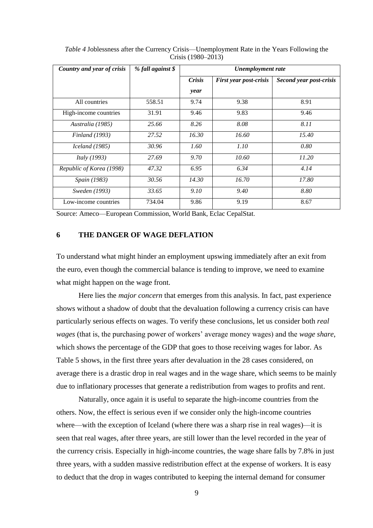| Country and year of crisis | % fall against \$ | <b>Unemployment rate</b> |                               |                         |  |  |
|----------------------------|-------------------|--------------------------|-------------------------------|-------------------------|--|--|
|                            |                   | <b>Crisis</b>            | <b>First year post-crisis</b> | Second year post-crisis |  |  |
|                            |                   | year                     |                               |                         |  |  |
| All countries              | 558.51            | 9.74                     | 9.38                          | 8.91                    |  |  |
| High-income countries      | 31.91             | 9.46                     | 9.83                          | 9.46                    |  |  |
| Australia (1985)           | 25.66             | 8.26                     | 8.08                          | 8.11                    |  |  |
| <i>Finland</i> (1993)      | 27.52             | 16.30                    | 16.60                         | 15.40                   |  |  |
| Iceland (1985)             | 30.96             | 1.60                     | 1.10                          | 0.80                    |  |  |
| <i>Italy</i> (1993)        | 27.69             | 9.70                     | 10.60                         | 11.20                   |  |  |
| Republic of Korea (1998)   | 47.32             | 6.95                     | 6.34                          | 4.14                    |  |  |
| <i>Spain</i> (1983)        | 30.56             | 14.30                    | 16.70                         | 17.80                   |  |  |
| Sweden (1993)              | 33.65             | 9.10                     | 9.40                          | 8.80                    |  |  |
| Low-income countries       | 734.04            | 9.86                     | 9.19                          | 8.67                    |  |  |

*Table 4* Joblessness after the Currency Crisis—Unemployment Rate in the Years Following the Crisis (1980–2013)

Source: Ameco—European Commission, World Bank, Eclac CepalStat.

#### **6 THE DANGER OF WAGE DEFLATION**

To understand what might hinder an employment upswing immediately after an exit from the euro, even though the commercial balance is tending to improve, we need to examine what might happen on the wage front.

Here lies the *major concern* that emerges from this analysis. In fact, past experience shows without a shadow of doubt that the devaluation following a currency crisis can have particularly serious effects on wages. To verify these conclusions, let us consider both *real wages* (that is, the purchasing power of workers' average money wages) and the *wage share*, which shows the percentage of the GDP that goes to those receiving wages for labor. As Table 5 shows, in the first three years after devaluation in the 28 cases considered, on average there is a drastic drop in real wages and in the wage share, which seems to be mainly due to inflationary processes that generate a redistribution from wages to profits and rent.

Naturally, once again it is useful to separate the high-income countries from the others. Now, the effect is serious even if we consider only the high-income countries where—with the exception of Iceland (where there was a sharp rise in real wages)—it is seen that real wages, after three years, are still lower than the level recorded in the year of the currency crisis. Especially in high-income countries, the wage share falls by 7.8% in just three years, with a sudden massive redistribution effect at the expense of workers. It is easy to deduct that the drop in wages contributed to keeping the internal demand for consumer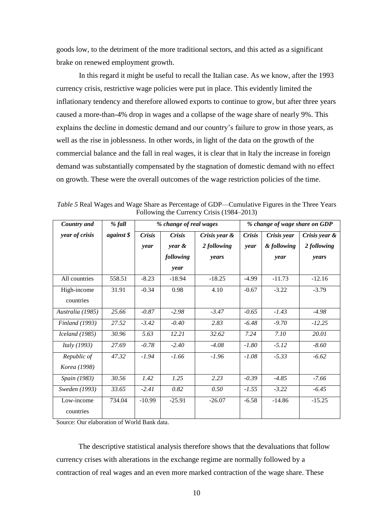goods low, to the detriment of the more traditional sectors, and this acted as a significant brake on renewed employment growth.

In this regard it might be useful to recall the Italian case. As we know, after the 1993 currency crisis, restrictive wage policies were put in place. This evidently limited the inflationary tendency and therefore allowed exports to continue to grow, but after three years caused a more-than-4% drop in wages and a collapse of the wage share of nearly 9%. This explains the decline in domestic demand and our country's failure to grow in those years, as well as the rise in joblessness. In other words, in light of the data on the growth of the commercial balance and the fall in real wages, it is clear that in Italy the increase in foreign demand was substantially compensated by the stagnation of domestic demand with no effect on growth. These were the overall outcomes of the wage restriction policies of the time.

*Table 5* Real Wages and Wage Share as Percentage of GDP—Cumulative Figures in the Three Years Following the Currency Crisis (1984–2013)

| Country and           | $%$ fall   | % change of real wages |               |               | % change of wage share on GDP |             |               |
|-----------------------|------------|------------------------|---------------|---------------|-------------------------------|-------------|---------------|
| year of crisis        | against \$ | <b>Crisis</b>          | <b>Crisis</b> | Crisis year & | <b>Crisis</b>                 | Crisis year | Crisis year & |
|                       |            | year                   | year &        | 2 following   | year                          | & following | 2 following   |
|                       |            |                        | following     | years         |                               | year        | vears         |
|                       |            |                        | year          |               |                               |             |               |
| All countries         | 558.51     | $-8.23$                | $-18.94$      | $-18.25$      | $-4.99$                       | $-11.73$    | $-12.16$      |
| High-income           | 31.91      | $-0.34$                | 0.98          | 4.10          | $-0.67$                       | $-3.22$     | $-3.79$       |
| countries             |            |                        |               |               |                               |             |               |
| Australia (1985)      | 25.66      | $-0.87$                | $-2.98$       | $-3.47$       | $-0.65$                       | $-1.43$     | $-4.98$       |
| <i>Finland</i> (1993) | 27.52      | $-3.42$                | $-0.40$       | 2.83          | $-6.48$                       | $-9.70$     | $-12.25$      |
| $I$ celand (1985)     | 30.96      | 5.63                   | 12.21         | 32.62         | 7.24                          | 7.10        | 20.01         |
| <i>Italy</i> (1993)   | 27.69      | $-0.78$                | $-2.40$       | $-4.08$       | $-1.80$                       | $-5.12$     | $-8.60$       |
| Republic of           | 47.32      | $-1.94$                | $-1.66$       | $-1.96$       | $-1.08$                       | $-5.33$     | $-6.62$       |
| <i>Korea</i> (1998)   |            |                        |               |               |                               |             |               |
| <i>Spain</i> (1983)   | 30.56      | 1.42                   | 1.25          | 2.23          | $-0.39$                       | $-4.85$     | $-7.66$       |
| Sweden (1993)         | 33.65      | $-2.41$                | 0.82          | 0.50          | $-1.55$                       | $-3.22$     | $-6.45$       |
| Low-income            | 734.04     | $-10.99$               | $-25.91$      | $-26.07$      | $-6.58$                       | $-14.86$    | $-15.25$      |
| countries             |            |                        |               |               |                               |             |               |

Source: Our elaboration of World Bank data.

The descriptive statistical analysis therefore shows that the devaluations that follow currency crises with alterations in the exchange regime are normally followed by a contraction of real wages and an even more marked contraction of the wage share. These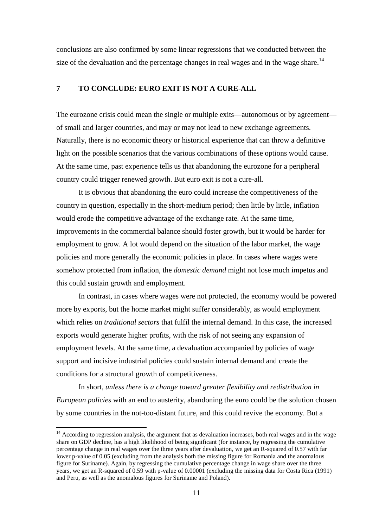conclusions are also confirmed by some linear regressions that we conducted between the size of the devaluation and the percentage changes in real wages and in the wage share.<sup>14</sup>

## **7 TO CONCLUDE: EURO EXIT IS NOT A CURE-ALL**

The eurozone crisis could mean the single or multiple exits—autonomous or by agreement of small and larger countries, and may or may not lead to new exchange agreements. Naturally, there is no economic theory or historical experience that can throw a definitive light on the possible scenarios that the various combinations of these options would cause. At the same time, past experience tells us that abandoning the eurozone for a peripheral country could trigger renewed growth. But euro exit is not a cure-all.

It is obvious that abandoning the euro could increase the competitiveness of the country in question, especially in the short-medium period; then little by little, inflation would erode the competitive advantage of the exchange rate. At the same time, improvements in the commercial balance should foster growth, but it would be harder for employment to grow. A lot would depend on the situation of the labor market, the wage policies and more generally the economic policies in place*.* In cases where wages were somehow protected from inflation, the *domestic demand* might not lose much impetus and this could sustain growth and employment.

In contrast, in cases where wages were not protected, the economy would be powered more by exports, but the home market might suffer considerably, as would employment which relies on *traditional sectors* that fulfil the internal demand. In this case, the increased exports would generate higher profits, with the risk of not seeing any expansion of employment levels. At the same time, a devaluation accompanied by policies of wage support and incisive industrial policies could sustain internal demand and create the conditions for a structural growth of competitiveness.

In short, *unless there is a change toward greater flexibility and redistribution in European policies* with an end to austerity, abandoning the euro could be the solution chosen by some countries in the not-too-distant future, and this could revive the economy. But a

**.** 

 $14$  According to regression analysis, the argument that as devaluation increases, both real wages and in the wage share on GDP decline, has a high likelihood of being significant (for instance, by regressing the cumulative percentage change in real wages over the three years after devaluation, we get an R-squared of 0.57 with far lower p-value of 0.05 (excluding from the analysis both the missing figure for Romania and the anomalous figure for Suriname). Again, by regressing the cumulative percentage change in wage share over the three years, we get an R-squared of 0.59 with p-value of 0.00001 (excluding the missing data for Costa Rica (1991) and Peru, as well as the anomalous figures for Suriname and Poland).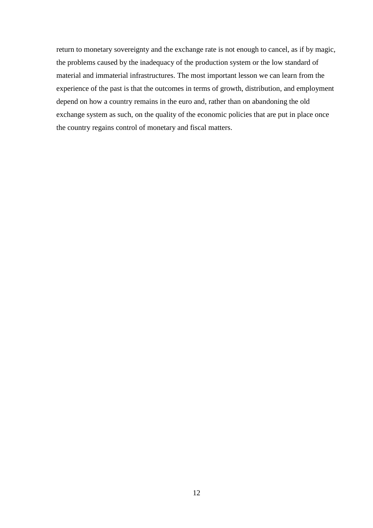return to monetary sovereignty and the exchange rate is not enough to cancel, as if by magic, the problems caused by the inadequacy of the production system or the low standard of material and immaterial infrastructures. The most important lesson we can learn from the experience of the past is that the outcomes in terms of growth, distribution, and employment depend on how a country remains in the euro and, rather than on abandoning the old exchange system as such, on the quality of the economic policies that are put in place once the country regains control of monetary and fiscal matters.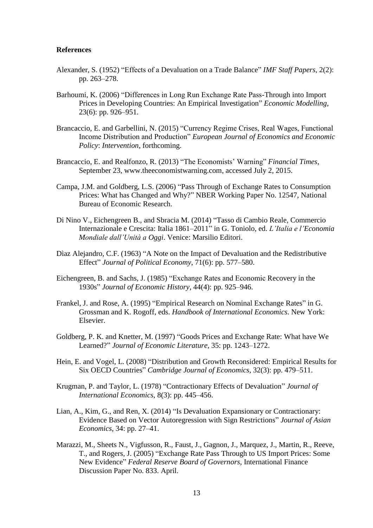### **References**

- Alexander, S. (1952) "Effects of a Devaluation on a Trade Balance" *IMF Staff Papers*, 2(2): pp. 263–278.
- Barhoumi, K. (2006) "Differences in Long Run Exchange Rate Pass-Through into Import Prices in Developing Countries: An Empirical Investigation" *Economic Modelling,*  23(6): pp. 926–951.
- Brancaccio, E. and Garbellini, N. (2015) "Currency Regime Crises, Real Wages, Functional Income Distribution and Production" *European Journal of Economics and Economic Policy*: *Intervention*, forthcoming.
- Brancaccio, E. and Realfonzo, R. (2013) "The Economists' Warning" *Financial Times*, September 23, www.theeconomistwarning.com, accessed July 2, 2015.
- Campa, J.M. and Goldberg, L.S. (2006) "Pass Through of Exchange Rates to Consumption Prices: What has Changed and Why?" NBER Working Paper No. 12547, National Bureau of Economic Research.
- Di Nino V., Eichengreen B., and Sbracia M. (2014) "Tasso di Cambio Reale, Commercio Internazionale e Crescita: Italia 1861–2011" in G. Toniolo, ed. *L'Italia e l'Economia Mondiale dall'Unità a Oggi*. Venice: Marsilio Editori.
- Dìaz Alejandro, C.F. (1963) "A Note on the Impact of Devaluation and the Redistributive Effect" *Journal of Political Economy*, 71(6): pp. 577–580.
- Eichengreen, B. and Sachs, J. (1985) "Exchange Rates and Economic Recovery in the 1930s" *Journal of Economic History*, 44(4): pp. 925–946.
- Frankel, J. and Rose, A. (1995) "Empirical Research on Nominal Exchange Rates" in G. Grossman and K. Rogoff, eds. *Handbook of International Economics*. New York: Elsevier.
- Goldberg, P. K. and Knetter, M. (1997) "Goods Prices and Exchange Rate: What have We Learned?" *Journal of Economic Literature*, 35: pp. 1243–1272.
- Hein, E. and Vogel, L. (2008) "Distribution and Growth Reconsidered: Empirical Results for Six OECD Countries" *Cambridge Journal of Economics*, 32(3): pp. 479–511.
- Krugman, P. and Taylor, L. (1978) "Contractionary Effects of Devaluation" *Journal of International Economics*, 8(3): pp. 445–456.
- Lian, A., Kim, G., and Ren, X. (2014) "Is Devaluation Expansionary or Contractionary: Evidence Based on Vector Autoregression with Sign Restrictions" *Journal of Asian Economics*, 34: pp. 27–41.
- Marazzi, M., Sheets N., Vigfusson, R., Faust, J., Gagnon, J., Marquez, J., Martin, R., Reeve, T., and Rogers, J. (2005) "Exchange Rate Pass Through to US Import Prices: Some New Evidence" *Federal Reserve Board of Governors*, International Finance Discussion Paper No. 833. April.